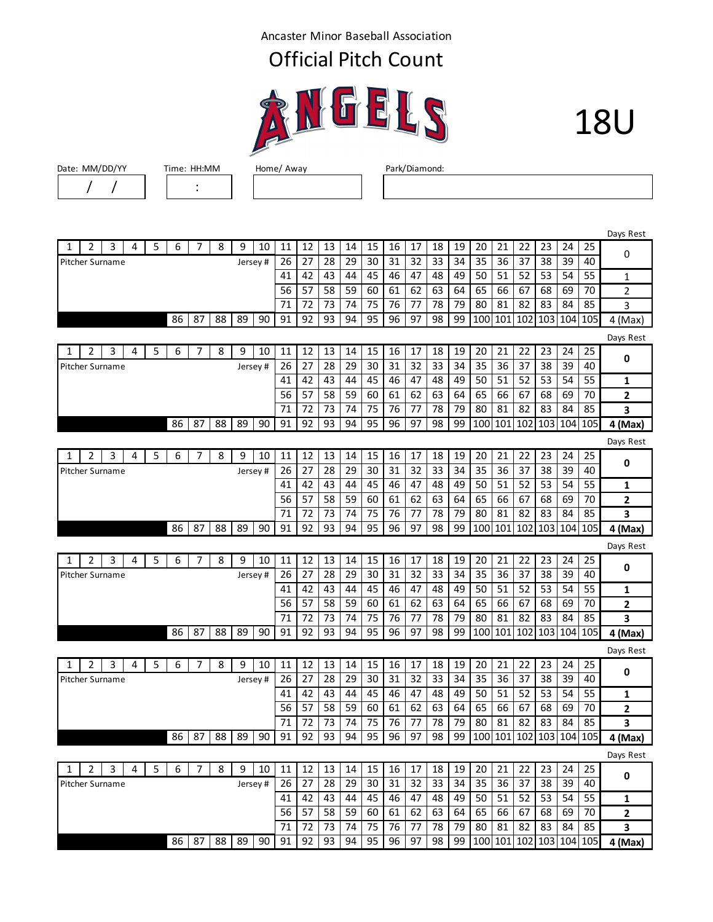Ancaster Minor Baseball Association

## Official Pitch Count





Date: MM/DD/YY Time: HH:MM Home/ Away Park/Diamond:

/ / :

|   |                        |   |   |   |    |    |    |          |          |    |    |    |    |    |    |    |    |    |     |     |     |     |     |     | Days Rest      |
|---|------------------------|---|---|---|----|----|----|----------|----------|----|----|----|----|----|----|----|----|----|-----|-----|-----|-----|-----|-----|----------------|
| 1 | 2                      | 3 | 4 | 5 | 6  | 7  | 8  | 9        | 10       | 11 | 12 | 13 | 14 | 15 | 16 | 17 | 18 | 19 | 20  | 21  | 22  | 23  | 24  | 25  | 0              |
|   | Pitcher Surname        |   |   |   |    |    |    |          | Jersey#  | 26 | 27 | 28 | 29 | 30 | 31 | 32 | 33 | 34 | 35  | 36  | 37  | 38  | 39  | 40  |                |
|   |                        |   |   |   |    |    |    |          |          | 41 | 42 | 43 | 44 | 45 | 46 | 47 | 48 | 49 | 50  | 51  | 52  | 53  | 54  | 55  | 1              |
|   |                        |   |   |   |    |    |    |          |          | 56 | 57 | 58 | 59 | 60 | 61 | 62 | 63 | 64 | 65  | 66  | 67  | 68  | 69  | 70  | $\overline{2}$ |
|   |                        |   |   |   |    |    |    |          |          | 71 | 72 | 73 | 74 | 75 | 76 | 77 | 78 | 79 | 80  | 81  | 82  | 83  | 84  | 85  | 3              |
|   |                        |   |   |   | 86 | 87 | 88 | 89       | 90       | 91 | 92 | 93 | 94 | 95 | 96 | 97 | 98 | 99 | 100 | 101 | 102 | 103 | 104 | 105 | 4 (Max)        |
|   |                        |   |   |   |    |    |    |          |          |    |    |    |    |    |    |    |    |    |     |     |     |     |     |     | Days Rest      |
| 1 | 2                      | 3 | 4 | 5 | 6  | 7  | 8  | 9        | 10       | 11 | 12 | 13 | 14 | 15 | 16 | 17 | 18 | 19 | 20  | 21  | 22  | 23  | 24  | 25  |                |
|   | Pitcher Surname        |   |   |   |    |    |    |          | Jersey#  | 26 | 27 | 28 | 29 | 30 | 31 | 32 | 33 | 34 | 35  | 36  | 37  | 38  | 39  | 40  | 0              |
|   |                        |   |   |   |    |    |    |          |          | 41 | 42 | 43 | 44 | 45 | 46 | 47 | 48 | 49 | 50  | 51  | 52  | 53  | 54  | 55  | 1              |
|   |                        |   |   |   |    |    |    |          |          | 56 | 57 | 58 | 59 | 60 | 61 | 62 | 63 | 64 | 65  | 66  | 67  | 68  | 69  | 70  | $\overline{2}$ |
|   |                        |   |   |   |    |    |    |          |          | 71 | 72 | 73 | 74 | 75 | 76 | 77 | 78 | 79 | 80  | 81  | 82  | 83  | 84  | 85  | 3              |
|   |                        |   |   |   | 86 | 87 | 88 | 89       | 90       | 91 | 92 | 93 | 94 | 95 | 96 | 97 | 98 | 99 | 100 | 101 | 102 | 103 | 104 | 105 | 4 (Max)        |
|   |                        |   |   |   |    |    |    |          |          |    |    |    |    |    |    |    |    |    |     |     |     |     |     |     | Days Rest      |
| 1 | 2                      | 3 | 4 | 5 | 6  | 7  | 8  | 9        | 10       | 11 | 12 | 13 | 14 | 15 | 16 | 17 | 18 | 19 | 20  | 21  | 22  | 23  | 24  | 25  |                |
|   | Pitcher Surname        |   |   |   |    |    |    |          | Jersey # | 26 | 27 | 28 | 29 | 30 | 31 | 32 | 33 | 34 | 35  | 36  | 37  | 38  | 39  | 40  | 0              |
|   |                        |   |   |   |    |    |    |          |          | 41 | 42 | 43 | 44 | 45 | 46 | 47 | 48 | 49 | 50  | 51  | 52  | 53  | 54  | 55  | $\mathbf{1}$   |
|   |                        |   |   |   |    |    |    |          |          | 56 | 57 | 58 | 59 | 60 | 61 | 62 | 63 | 64 | 65  | 66  | 67  | 68  | 69  | 70  | 2              |
|   |                        |   |   |   |    |    |    |          |          | 71 | 72 | 73 | 74 | 75 | 76 | 77 | 78 | 79 | 80  | 81  | 82  | 83  | 84  | 85  | 3              |
|   |                        |   |   |   | 86 | 87 | 88 | 89       | 90       | 91 | 92 | 93 | 94 | 95 | 96 | 97 | 98 | 99 | 100 | 101 | 102 | 103 | 104 | 105 | 4 (Max)        |
|   |                        |   |   |   |    |    |    |          |          |    |    |    |    |    |    |    |    |    |     |     |     |     |     |     | Days Rest      |
| 1 | 2                      | 3 | 4 | 5 | 6  | 7  | 8  | 9        | 10       | 11 | 12 | 13 | 14 | 15 | 16 | 17 | 18 | 19 | 20  | 21  | 22  | 23  | 24  | 25  | 0              |
|   | Pitcher Surname        |   |   |   |    |    |    |          | Jersey # | 26 | 27 | 28 | 29 | 30 | 31 | 32 | 33 | 34 | 35  | 36  | 37  | 38  | 39  | 40  |                |
|   |                        |   |   |   |    |    |    |          |          | 41 | 42 | 43 | 44 | 45 | 46 | 47 | 48 | 49 | 50  | 51  | 52  | 53  | 54  | 55  | 1              |
|   |                        |   |   |   |    |    |    |          |          | 56 | 57 | 58 | 59 | 60 | 61 | 62 | 63 | 64 | 65  | 66  | 67  | 68  | 69  | 70  | 2              |
|   |                        |   |   |   |    |    |    |          |          | 71 | 72 | 73 | 74 | 75 | 76 | 77 | 78 | 79 | 80  | 81  | 82  | 83  | 84  | 85  | 3              |
|   |                        |   |   |   | 86 | 87 | 88 | 89       | 90       | 91 | 92 | 93 | 94 | 95 | 96 | 97 | 98 | 99 | 100 | 101 | 102 | 103 | 104 | 105 | 4 (Max)        |
|   |                        |   |   |   |    |    |    |          |          |    |    |    |    |    |    |    |    |    |     |     |     |     |     |     | Days Rest      |
| 1 | $\overline{2}$         | 3 | 4 | 5 | 6  | 7  | 8  | 9        | 10       | 11 | 12 | 13 | 14 | 15 | 16 | 17 | 18 | 19 | 20  | 21  | 22  | 23  | 24  | 25  | 0              |
|   | Pitcher Surname        |   |   |   |    |    |    | Jersey#  |          | 26 | 27 | 28 | 29 | 30 | 31 | 32 | 33 | 34 | 35  | 36  | 37  | 38  | 39  | 40  |                |
|   |                        |   |   |   |    |    |    |          |          | 41 | 42 | 43 | 44 | 45 | 46 | 47 | 48 | 49 | 50  | 51  | 52  | 53  | 54  | 55  | 1              |
|   |                        |   |   |   |    |    |    |          |          | 56 | 57 | 58 | 59 | 60 | 61 | 62 | 63 | 64 | 65  | 66  | 67  | 68  | 69  | 70  | $\mathbf{2}$   |
|   |                        |   |   |   |    |    |    |          |          | 71 | 72 | 73 | 74 | 75 | 76 | 77 | 78 | 79 | 80  | 81  | 82  | 83  | 84  | 85  | 3              |
|   |                        |   |   |   | 86 | 87 | 88 | 89       | 90       | 91 | 92 | 93 | 94 | 95 | 96 | 97 | 98 | 99 | 100 | 101 | 102 | 103 | 104 | 105 | 4 (Max)        |
|   |                        |   |   |   |    |    |    |          |          |    |    |    |    |    |    |    |    |    |     |     |     |     |     |     | Days Rest      |
| 1 | 2                      | 3 | 4 | 5 | 6  | 7  | 8  | 9        | 10       | 11 | 12 | 13 | 14 | 15 | 16 | 17 | 18 | 19 | 20  | 21  | 22  | 23  | 24  | 25  |                |
|   | <b>Pitcher Surname</b> |   |   |   |    |    |    | Jersey # |          | 26 | 27 | 28 | 29 | 30 | 31 | 32 | 33 | 34 | 35  | 36  | 37  | 38  | 39  | 40  | 0              |
|   |                        |   |   |   |    |    |    |          |          | 41 | 42 | 43 | 44 | 45 | 46 | 47 | 48 | 49 | 50  | 51  | 52  | 53  | 54  | 55  | $\mathbf{1}$   |
|   |                        |   |   |   |    |    |    |          |          | 56 | 57 | 58 | 59 | 60 | 61 | 62 | 63 | 64 | 65  | 66  | 67  | 68  | 69  | 70  | $\overline{2}$ |
|   |                        |   |   |   |    |    |    |          |          | 71 | 72 | 73 | 74 | 75 | 76 | 77 | 78 | 79 | 80  | 81  | 82  | 83  | 84  | 85  | 3              |

87 88 89 90 91 92 93 94 95 96 97 98 99 100 101 102 103 104 105 **4 (Max)**